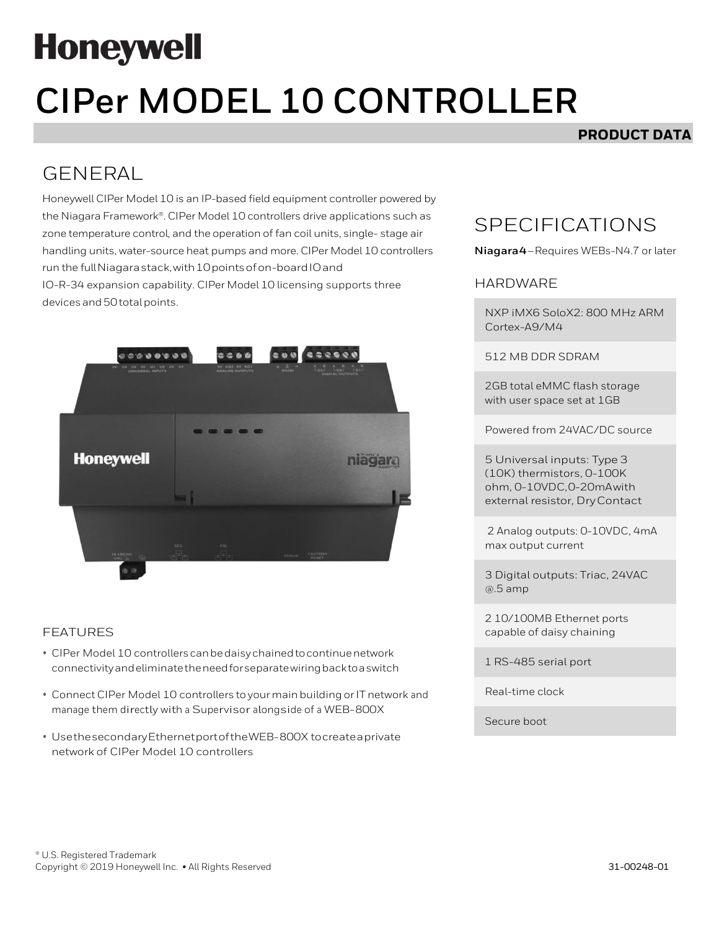# **Honeywell**

# **CIPer MODEL 10 CONTROLLER**

### **PRODUCT DATA**

## GENERAL

Honeywell CIPer Model 10 is an IP-based field equipment controller powered by the Niagara Framework®. CIPer Model 10 controllers drive applications such as zone temperature control, and the operation of fan coil units, single- stage air handling units, water-source heat pumps and more. CIPer Model 10 controllers run the full Niagara stack, with 10 points of on-board IO and IO-R-34 expansion capability. CIPer Model 10 licensing supports three devices and 50 total points.



#### FEATURES

- CIPer Model 10 controllerscanbedaisychainedtocontinuenetwork connectivityandeliminatetheneedforseparatewiringbacktoaswitch
- Connect CIPer Model 10 controllers to your main building or IT network and manage them directly with <sup>a</sup> Supervisor alongside of <sup>a</sup> WEB-800X
- UsethesecondaryEthernetportoftheWEB-800X tocreateaprivate network of CIPer Model 10 controllers

## SPECIFICATIONS

**Niagara4**–Requires WEBs-N4.7 or later

#### HARDWARE

NXP iMX6 SoloX2: 800 MHz ARM Cortex-A9/M4

512 MB DDR SDRAM

2GB total eMMC flash storage with user space set at 1GB

Powered from 24VAC/DC source

5 Universal inputs: Type 3 (10K) thermistors, 0-100K ohm, 0-10VDC,0-20mAwith external resistor, DryContact

2 Analog outputs: 0-10VDC, 4mA max output current

3 Digital outputs: Triac, 24VAC @.5 amp

2 10/100MB Ethernet ports capable of daisy chaining

1 RS-485 serial port

Real-time clock

Secure boot